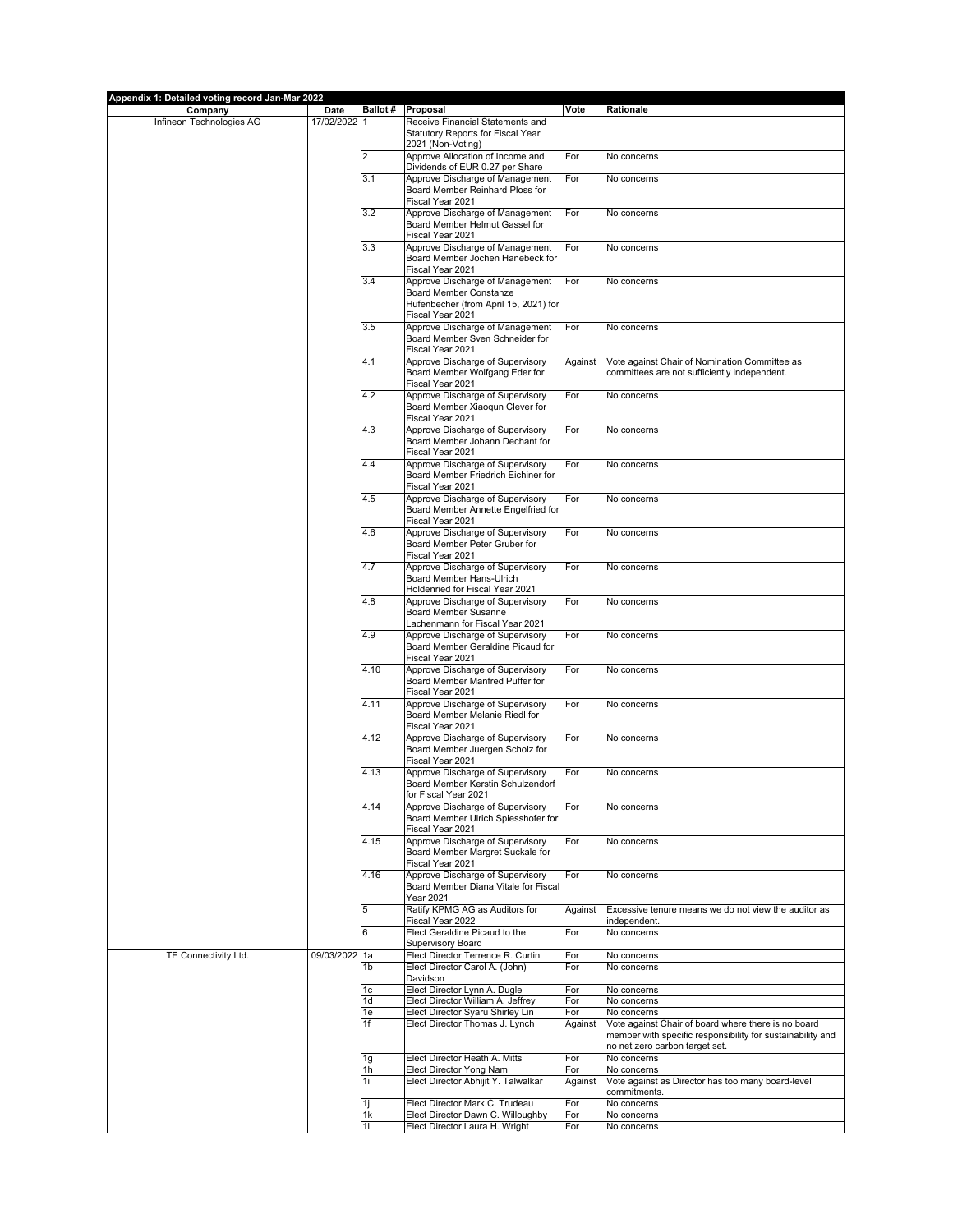| Appendix 1: Detailed voting record Jan-Mar 2022 |                      |                      |                                                                         |            |                                                                                               |
|-------------------------------------------------|----------------------|----------------------|-------------------------------------------------------------------------|------------|-----------------------------------------------------------------------------------------------|
| Company<br>Infineon Technologies AG             | Date<br>17/02/2022 1 |                      | Ballot # Proposal<br>Receive Financial Statements and                   | Vote       | Rationale                                                                                     |
|                                                 |                      |                      | Statutory Reports for Fiscal Year                                       |            |                                                                                               |
|                                                 |                      |                      | 2021 (Non-Voting)                                                       |            |                                                                                               |
|                                                 |                      | 2                    | Approve Allocation of Income and<br>Dividends of EUR 0.27 per Share     | For        | No concerns                                                                                   |
|                                                 |                      | 3.1                  | Approve Discharge of Management                                         | For        | No concerns                                                                                   |
|                                                 |                      |                      | Board Member Reinhard Ploss for                                         |            |                                                                                               |
|                                                 |                      |                      | Fiscal Year 2021                                                        |            |                                                                                               |
|                                                 |                      | 3.2                  | Approve Discharge of Management<br>Board Member Helmut Gassel for       | For        | No concerns                                                                                   |
|                                                 |                      |                      | Fiscal Year 2021                                                        |            |                                                                                               |
|                                                 |                      | 3.3                  | Approve Discharge of Management                                         | For        | No concerns                                                                                   |
|                                                 |                      |                      | Board Member Jochen Hanebeck for<br>Fiscal Year 2021                    |            |                                                                                               |
|                                                 |                      | 3.4                  | Approve Discharge of Management                                         | For        | No concerns                                                                                   |
|                                                 |                      |                      | Board Member Constanze                                                  |            |                                                                                               |
|                                                 |                      |                      | Hufenbecher (from April 15, 2021) for<br>Fiscal Year 2021               |            |                                                                                               |
|                                                 |                      | 3.5                  | Approve Discharge of Management                                         | For        | No concerns                                                                                   |
|                                                 |                      |                      | Board Member Sven Schneider for                                         |            |                                                                                               |
|                                                 |                      |                      | Fiscal Year 2021                                                        |            |                                                                                               |
|                                                 |                      | 4.1                  | Approve Discharge of Supervisory<br>Board Member Wolfgang Eder for      | Against    | Vote against Chair of Nomination Committee as<br>committees are not sufficiently independent. |
|                                                 |                      |                      | Fiscal Year 2021                                                        |            |                                                                                               |
|                                                 |                      | 4.2                  | Approve Discharge of Supervisory                                        | For        | No concerns                                                                                   |
|                                                 |                      |                      | Board Member Xiaoqun Clever for<br>Fiscal Year 2021                     |            |                                                                                               |
|                                                 |                      | 4.3                  | Approve Discharge of Supervisory                                        | For        | No concerns                                                                                   |
|                                                 |                      |                      | Board Member Johann Dechant for                                         |            |                                                                                               |
|                                                 |                      |                      | Fiscal Year 2021                                                        |            |                                                                                               |
|                                                 |                      | 4.4                  | Approve Discharge of Supervisory<br>Board Member Friedrich Eichiner for | For        | No concerns                                                                                   |
|                                                 |                      |                      | Fiscal Year 2021                                                        |            |                                                                                               |
|                                                 |                      | 4.5                  | Approve Discharge of Supervisory                                        | For        | No concerns                                                                                   |
|                                                 |                      |                      | Board Member Annette Engelfried for<br>Fiscal Year 2021                 |            |                                                                                               |
|                                                 |                      | 4.6                  | Approve Discharge of Supervisory                                        | For        | No concerns                                                                                   |
|                                                 |                      |                      | Board Member Peter Gruber for                                           |            |                                                                                               |
|                                                 |                      |                      | Fiscal Year 2021                                                        |            |                                                                                               |
|                                                 |                      | 4.7                  | Approve Discharge of Supervisory<br>Board Member Hans-Ulrich            | For        | No concerns                                                                                   |
|                                                 |                      |                      | Holdenried for Fiscal Year 2021                                         |            |                                                                                               |
|                                                 |                      | 4.8                  | Approve Discharge of Supervisory                                        | For        | No concerns                                                                                   |
|                                                 |                      |                      | Board Member Susanne<br>Lachenmann for Fiscal Year 2021                 |            |                                                                                               |
|                                                 |                      | 4.9                  | Approve Discharge of Supervisory                                        | For        | No concerns                                                                                   |
|                                                 |                      |                      | Board Member Geraldine Picaud for                                       |            |                                                                                               |
|                                                 |                      | 4.10                 | Fiscal Year 2021<br>Approve Discharge of Supervisory                    | For        | No concerns                                                                                   |
|                                                 |                      |                      | Board Member Manfred Puffer for                                         |            |                                                                                               |
|                                                 |                      |                      | Fiscal Year 2021                                                        |            |                                                                                               |
|                                                 |                      | 4.11                 | Approve Discharge of Supervisory<br>Board Member Melanie Riedl for      | For        | No concerns                                                                                   |
|                                                 |                      |                      | Fiscal Year 2021                                                        |            |                                                                                               |
|                                                 |                      | 4.12                 | Approve Discharge of Supervisory                                        | For        | No concerns                                                                                   |
|                                                 |                      |                      | Board Member Juergen Scholz for<br>Fiscal Year 2021                     |            |                                                                                               |
|                                                 |                      | 4.13                 | Approve Discharge of Supervisory                                        | For        | No concerns                                                                                   |
|                                                 |                      |                      | Board Member Kerstin Schulzendorf                                       |            |                                                                                               |
|                                                 |                      | 4.14                 | for Fiscal Year 2021                                                    |            |                                                                                               |
|                                                 |                      |                      | Approve Discharge of Supervisory<br>Board Member Ulrich Spiesshofer for | For        | No concerns                                                                                   |
|                                                 |                      |                      | Fiscal Year 2021                                                        |            |                                                                                               |
|                                                 |                      | 4.15                 | Approve Discharge of Supervisory<br>Board Member Margret Suckale for    | For        | No concerns                                                                                   |
|                                                 |                      |                      | Fiscal Year 2021                                                        |            |                                                                                               |
|                                                 |                      | 4.16                 | Approve Discharge of Supervisory                                        | For        | No concerns                                                                                   |
|                                                 |                      |                      | Board Member Diana Vitale for Fiscal                                    |            |                                                                                               |
|                                                 |                      | 5                    | Year 2021<br>Ratify KPMG AG as Auditors for                             | Against    | Excessive tenure means we do not view the auditor as                                          |
|                                                 |                      |                      | Fiscal Year 2022                                                        |            | independent.                                                                                  |
|                                                 |                      | 6                    | Elect Geraldine Picaud to the                                           | For        | No concerns                                                                                   |
| TE Connectivity Ltd.                            | 09/03/2022 1a        |                      | Supervisory Board<br>Elect Director Terrence R. Curtin                  | For        | No concerns                                                                                   |
|                                                 |                      | 1b                   | Elect Director Carol A. (John)                                          | For        | No concerns                                                                                   |
|                                                 |                      |                      | Davidson                                                                |            |                                                                                               |
|                                                 |                      | 1c<br>1 <sub>d</sub> | Elect Director Lynn A. Dugle<br>Elect Director William A. Jeffrey       | For<br>For | No concerns<br>No concerns                                                                    |
|                                                 |                      | 1e                   | Elect Director Syaru Shirley Lin                                        | For        | No concerns                                                                                   |
|                                                 |                      | 1f                   | Elect Director Thomas J. Lynch                                          | Against    | Vote against Chair of board where there is no board                                           |
|                                                 |                      |                      |                                                                         |            | member with specific responsibility for sustainability and<br>no net zero carbon target set.  |
|                                                 |                      | 1g                   | Elect Director Heath A. Mitts                                           | For        | No concerns                                                                                   |
|                                                 |                      | 1h                   | Elect Director Yong Nam                                                 | For        | No concerns                                                                                   |
|                                                 |                      | 1i                   | Elect Director Abhijit Y. Talwalkar                                     | Against    | Vote against as Director has too many board-level<br>commitments.                             |
|                                                 |                      | 1i                   | Elect Director Mark C. Trudeau                                          | For        | No concerns                                                                                   |
|                                                 |                      | 1k                   | Elect Director Dawn C. Willoughby                                       | For        | No concerns                                                                                   |
|                                                 |                      | 11                   | Elect Director Laura H. Wright                                          | For        | No concerns                                                                                   |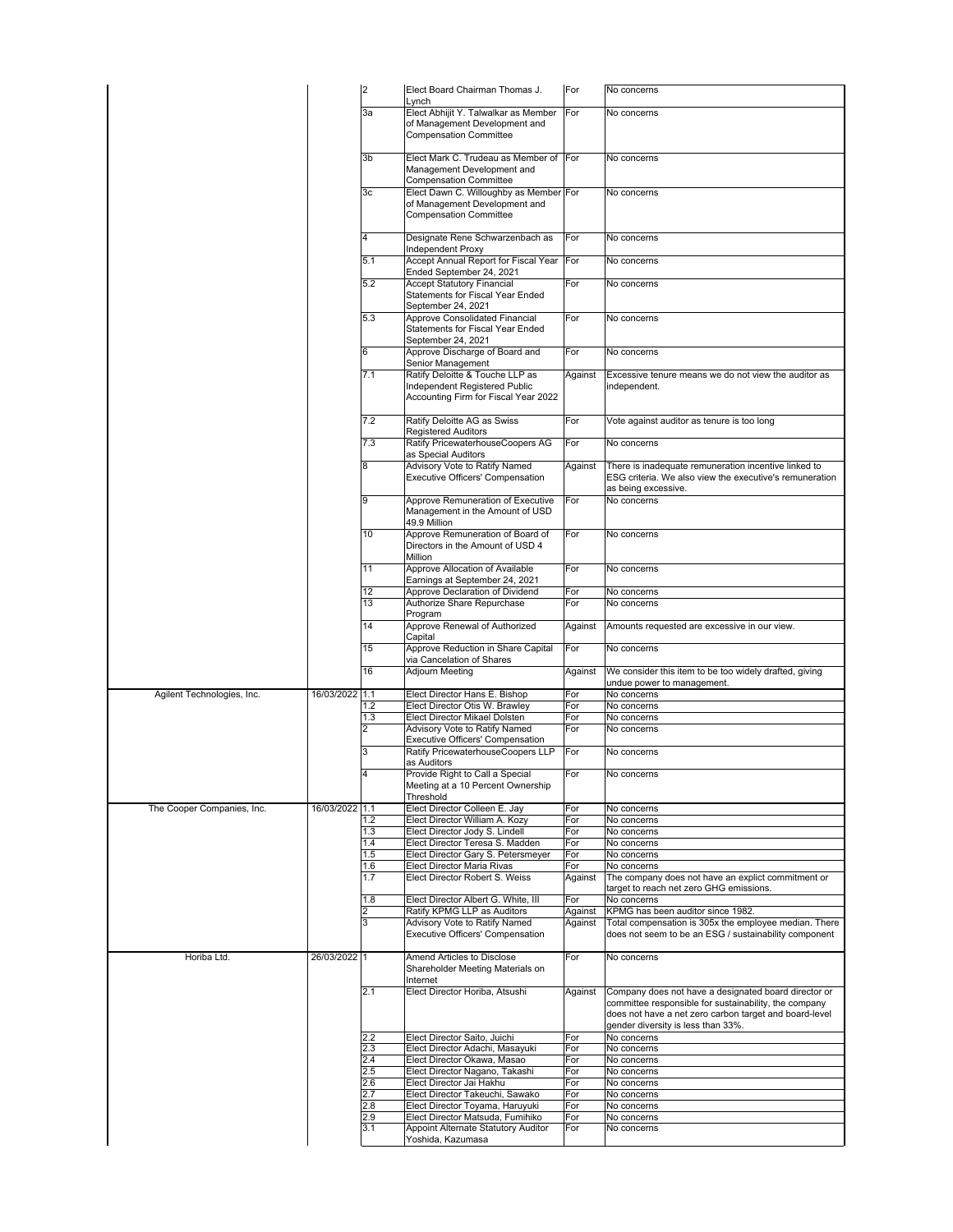|                            |                | $\overline{c}$ | Elect Board Chairman Thomas J.                                                                           | For            | No concerns                                                                                                                                           |
|----------------------------|----------------|----------------|----------------------------------------------------------------------------------------------------------|----------------|-------------------------------------------------------------------------------------------------------------------------------------------------------|
|                            |                | 3a             | Lynch<br>Elect Abhijit Y. Talwalkar as Member                                                            | For            | No concerns                                                                                                                                           |
|                            |                |                | of Management Development and<br><b>Compensation Committee</b>                                           |                |                                                                                                                                                       |
|                            |                | 3b             | Elect Mark C. Trudeau as Member of For                                                                   |                | No concerns                                                                                                                                           |
|                            |                |                | Management Development and<br><b>Compensation Committee</b>                                              |                |                                                                                                                                                       |
|                            |                | 3c             | Elect Dawn C. Willoughby as Member For<br>of Management Development and                                  |                | No concerns                                                                                                                                           |
|                            |                | 4              | <b>Compensation Committee</b><br>Designate Rene Schwarzenbach as                                         | For            | No concerns                                                                                                                                           |
|                            |                | 5.1            | Independent Proxy<br>Accept Annual Report for Fiscal Year                                                | For            | No concerns                                                                                                                                           |
|                            |                | 5.2            | Ended September 24, 2021<br><b>Accept Statutory Financial</b>                                            | For            | No concerns                                                                                                                                           |
|                            |                |                | Statements for Fiscal Year Ended<br>September 24, 2021                                                   |                |                                                                                                                                                       |
|                            |                | 5.3            | Approve Consolidated Financial<br>Statements for Fiscal Year Ended<br>September 24, 2021                 | For            | No concerns                                                                                                                                           |
|                            |                | 6              | Approve Discharge of Board and<br>Senior Management                                                      | For            | No concerns                                                                                                                                           |
|                            |                | 7.1            | Ratify Deloitte & Touche LLP as<br>Independent Registered Public<br>Accounting Firm for Fiscal Year 2022 | Against        | Excessive tenure means we do not view the auditor as<br>independent.                                                                                  |
|                            |                | 7.2            | Ratify Deloitte AG as Swiss<br><b>Registered Auditors</b>                                                | For            | Vote against auditor as tenure is too long                                                                                                            |
|                            |                | 7.3            | Ratify PricewaterhouseCoopers AG<br>as Special Auditors                                                  | For            | No concerns                                                                                                                                           |
|                            |                | 8              | Advisory Vote to Ratify Named                                                                            | Against        | There is inadequate remuneration incentive linked to                                                                                                  |
|                            |                |                | Executive Officers' Compensation                                                                         |                | ESG criteria. We also view the executive's remuneration<br>as being excessive.                                                                        |
|                            |                | 9              | Approve Remuneration of Executive<br>Management in the Amount of USD<br>49.9 Million                     | For            | No concerns                                                                                                                                           |
|                            |                | 10             | Approve Remuneration of Board of<br>Directors in the Amount of USD 4<br>Million                          | For            | No concerns                                                                                                                                           |
|                            |                | 11             | Approve Allocation of Available<br>Earnings at September 24, 2021                                        | For            | No concerns                                                                                                                                           |
|                            |                | 12             | Approve Declaration of Dividend                                                                          | For            | No concerns                                                                                                                                           |
|                            |                | 13             | Authorize Share Repurchase<br>Program                                                                    | For            | No concerns                                                                                                                                           |
|                            |                | 14             | Approve Renewal of Authorized<br>Capital                                                                 | Against        | Amounts requested are excessive in our view.                                                                                                          |
|                            |                | 15             | Approve Reduction in Share Capital                                                                       | For            | No concerns                                                                                                                                           |
|                            |                | 16             | via Cancelation of Shares<br>Adjourn Meeting                                                             | Against        | We consider this item to be too widely drafted, giving                                                                                                |
|                            |                |                |                                                                                                          |                | undue power to management.                                                                                                                            |
| Agilent Technologies, Inc. | 16/03/2022     | 1.1<br>1.2     | Elect Director Hans E. Bishop<br>Elect Director Otis W. Brawley                                          | For<br>For     | No concerns<br>No concerns                                                                                                                            |
|                            |                | 1.3<br>2       | Elect Director Mikael Dolsten<br>Advisory Vote to Ratify Named                                           | For<br>For     | No concerns                                                                                                                                           |
|                            |                |                | Executive Officers' Compensation                                                                         |                | No concerns                                                                                                                                           |
|                            |                | 3              | Ratify PricewaterhouseCoopers LLP<br>as Auditors                                                         | For            | No concerns                                                                                                                                           |
|                            |                | 4              | Provide Right to Call a Special<br>Meeting at a 10 Percent Ownership<br>Threshold                        | For            | No concerns                                                                                                                                           |
| The Cooper Companies, Inc. | 16/03/2022 1.1 |                | Elect Director Colleen E. Jay                                                                            | For            | No concerns                                                                                                                                           |
|                            |                | 1.2<br>1.3     | Elect Director William A. Kozy<br>Elect Director Jody S. Lindell                                         | For<br>For     | No concerns<br>No concerns                                                                                                                            |
|                            |                | 1.4            | Elect Director Teresa S. Madden                                                                          | For            | No concerns                                                                                                                                           |
|                            |                | 1.5            | Elect Director Gary S. Petersmeyer                                                                       | For            | No concerns                                                                                                                                           |
|                            |                | 1.6<br>1.7     | Elect Director Maria Rivas<br>Elect Director Robert S. Weiss                                             | For<br>Against | No concerns<br>The company does not have an explict commitment or                                                                                     |
|                            |                |                |                                                                                                          |                | target to reach net zero GHG emissions.                                                                                                               |
|                            |                | 1.8            | Elect Director Albert G. White, III                                                                      | For            | No concerns                                                                                                                                           |
|                            |                | 2              | Ratify KPMG LLP as Auditors                                                                              | Against        | KPMG has been auditor since 1982.                                                                                                                     |
|                            |                | 3              | Advisory Vote to Ratify Named<br>Executive Officers' Compensation                                        | Against        | Total compensation is 305x the employee median. There<br>does not seem to be an ESG / sustainability component                                        |
| Horiba Ltd.                | 26/03/2022 1   |                | Amend Articles to Disclose<br>Shareholder Meeting Materials on                                           | For            | No concerns                                                                                                                                           |
|                            |                | 2.1            | Internet<br>Elect Director Horiba, Atsushi                                                               | Against        | Company does not have a designated board director or                                                                                                  |
|                            |                |                |                                                                                                          |                | committee responsible for sustainability, the company<br>does not have a net zero carbon target and board-level<br>gender diversity is less than 33%. |
|                            |                | 2.2            | Elect Director Saito, Juichi                                                                             | For            | No concerns                                                                                                                                           |
|                            |                | 2.3            | Elect Director Adachi, Masayuki                                                                          | For            | No concerns                                                                                                                                           |
|                            |                | 2.4<br>2.5     | Elect Director Okawa, Masao<br>Elect Director Nagano, Takashi                                            | For<br>For     | No concerns<br>No concerns                                                                                                                            |
|                            |                | 2.6            | Elect Director Jai Hakhu                                                                                 | For            | No concerns                                                                                                                                           |
|                            |                | 2.7            | Elect Director Takeuchi, Sawako                                                                          | For            | No concerns                                                                                                                                           |
|                            |                | 2.8            | Elect Director Toyama, Haruyuki                                                                          | For            | No concerns                                                                                                                                           |
|                            |                | 2.9<br>3.1     | Elect Director Matsuda, Fumihiko<br>Appoint Alternate Statutory Auditor                                  | For<br>For     | No concerns<br>No concerns                                                                                                                            |
|                            |                |                | Yoshida, Kazumasa                                                                                        |                |                                                                                                                                                       |